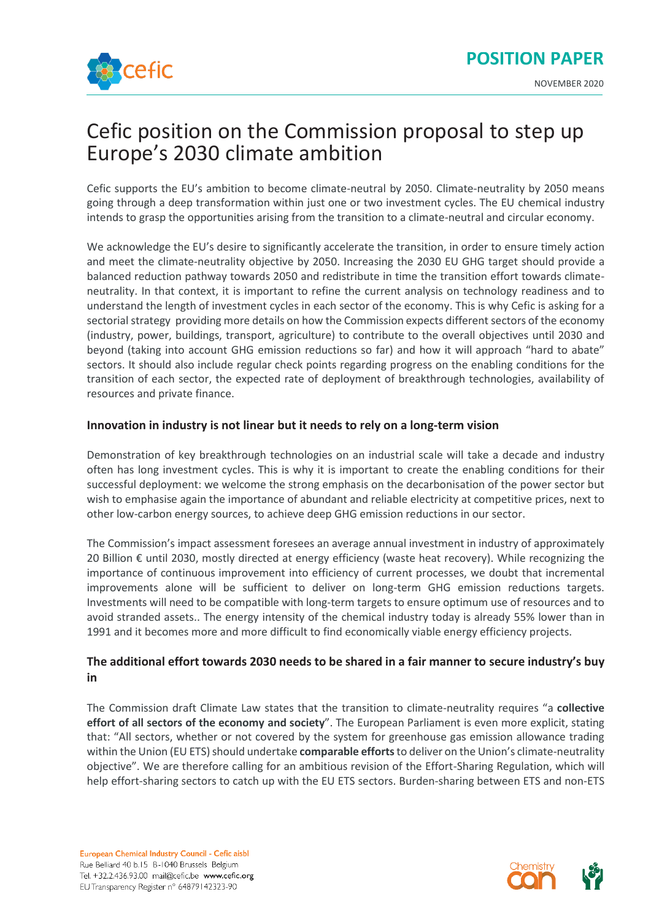

# Cefic position on the Commission proposal to step up Europe's 2030 climate ambition

Cefic supports the EU's ambition to become climate-neutral by 2050. Climate-neutrality by 2050 means going through a deep transformation within just one or two investment cycles. The EU chemical industry intends to grasp the opportunities arising from the transition to a climate-neutral and circular economy.

We acknowledge the EU's desire to significantly accelerate the transition, in order to ensure timely action and meet the climate-neutrality objective by 2050. Increasing the 2030 EU GHG target should provide a balanced reduction pathway towards 2050 and redistribute in time the transition effort towards climateneutrality. In that context, it is important to refine the current analysis on technology readiness and to understand the length of investment cycles in each sector of the economy. This is why Cefic is asking for a sectorial strategy providing more details on how the Commission expects different sectors of the economy (industry, power, buildings, transport, agriculture) to contribute to the overall objectives until 2030 and beyond (taking into account GHG emission reductions so far) and how it will approach "hard to abate" sectors. It should also include regular check points regarding progress on the enabling conditions for the transition of each sector, the expected rate of deployment of breakthrough technologies, availability of resources and private finance.

## **Innovation in industry is not linear but it needs to rely on a long-term vision**

Demonstration of key breakthrough technologies on an industrial scale will take a decade and industry often has long investment cycles. This is why it is important to create the enabling conditions for their successful deployment: we welcome the strong emphasis on the decarbonisation of the power sector but wish to emphasise again the importance of abundant and reliable electricity at competitive prices, next to other low-carbon energy sources, to achieve deep GHG emission reductions in our sector.

The Commission's impact assessment foresees an average annual investment in industry of approximately 20 Billion € until 2030, mostly directed at energy efficiency (waste heat recovery). While recognizing the importance of continuous improvement into efficiency of current processes, we doubt that incremental improvements alone will be sufficient to deliver on long-term GHG emission reductions targets. Investments will need to be compatible with long-term targets to ensure optimum use of resources and to avoid stranded assets.. The energy intensity of the chemical industry today is already 55% lower than in 1991 and it becomes more and more difficult to find economically viable energy efficiency projects.

## **The additional effort towards 2030 needs to be shared in a fair manner to secure industry's buy in**

The Commission draft Climate Law states that the transition to climate-neutrality requires "a **collective effort of all sectors of the economy and society**". The European Parliament is even more explicit, stating that: "All sectors, whether or not covered by the system for greenhouse gas emission allowance trading within the Union (EU ETS) should undertake **comparable efforts**to deliver on the Union's climate-neutrality objective". We are therefore calling for an ambitious revision of the Effort-Sharing Regulation, which will help effort-sharing sectors to catch up with the EU ETS sectors. Burden-sharing between ETS and non-ETS

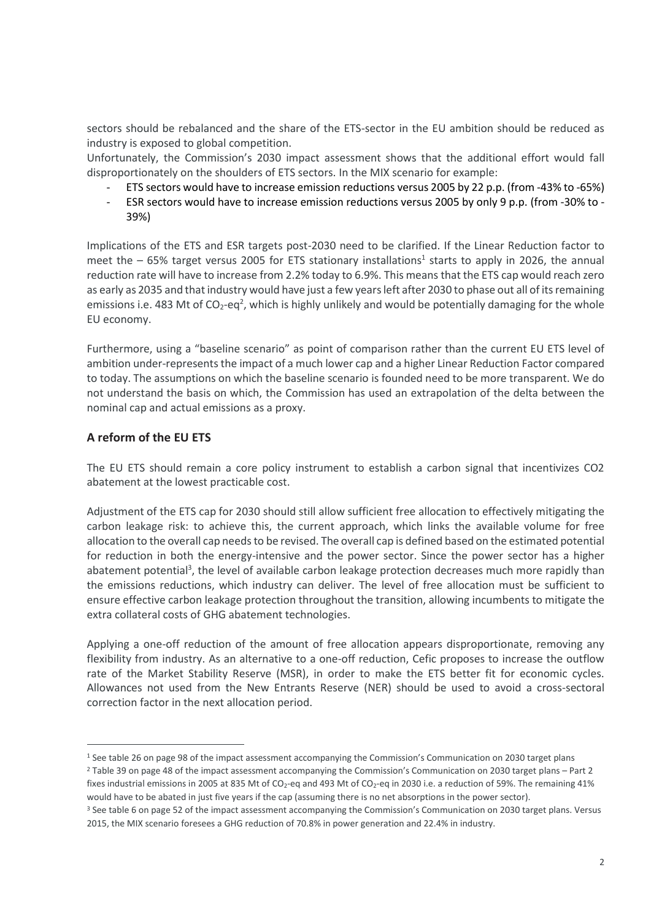sectors should be rebalanced and the share of the ETS-sector in the EU ambition should be reduced as industry is exposed to global competition.

Unfortunately, the Commission's 2030 impact assessment shows that the additional effort would fall disproportionately on the shoulders of ETS sectors. In the MIX scenario for example:

- ETS sectors would have to increase emission reductions versus 2005 by 22 p.p. (from -43% to -65%)
- ESR sectors would have to increase emission reductions versus 2005 by only 9 p.p. (from -30% to 39%)

Implications of the ETS and ESR targets post-2030 need to be clarified. If the Linear Reduction factor to meet the  $-65%$  target versus 2005 for ETS stationary installations<sup>1</sup> starts to apply in 2026, the annual reduction rate will have to increase from 2.2% today to 6.9%. This means that the ETS cap would reach zero as early as 2035 and that industry would have just a few years left after 2030 to phase out all of its remaining emissions i.e. 483 Mt of CO<sub>2</sub>-eq<sup>2</sup>, which is highly unlikely and would be potentially damaging for the whole EU economy.

Furthermore, using a "baseline scenario" as point of comparison rather than the current EU ETS level of ambition under-represents the impact of a much lower cap and a higher Linear Reduction Factor compared to today. The assumptions on which the baseline scenario is founded need to be more transparent. We do not understand the basis on which, the Commission has used an extrapolation of the delta between the nominal cap and actual emissions as a proxy.

## **A reform of the EU ETS**

The EU ETS should remain a core policy instrument to establish a carbon signal that incentivizes CO2 abatement at the lowest practicable cost.

Adjustment of the ETS cap for 2030 should still allow sufficient free allocation to effectively mitigating the carbon leakage risk: to achieve this, the current approach, which links the available volume for free allocation to the overall cap needs to be revised. The overall cap is defined based on the estimated potential for reduction in both the energy-intensive and the power sector. Since the power sector has a higher abatement potential<sup>3</sup>, the level of available carbon leakage protection decreases much more rapidly than the emissions reductions, which industry can deliver. The level of free allocation must be sufficient to ensure effective carbon leakage protection throughout the transition, allowing incumbents to mitigate the extra collateral costs of GHG abatement technologies.

Applying a one-off reduction of the amount of free allocation appears disproportionate, removing any flexibility from industry. As an alternative to a one-off reduction, Cefic proposes to increase the outflow rate of the Market Stability Reserve (MSR), in order to make the ETS better fit for economic cycles. Allowances not used from the New Entrants Reserve (NER) should be used to avoid a cross-sectoral correction factor in the next allocation period.

<sup>1</sup> See table 26 on page 98 of the impact assessment accompanying the Commission's Communication on 2030 target plans <sup>2</sup> Table 39 on page 48 of the impact assessment accompanying the Commission's Communication on 2030 target plans – Part 2

fixes industrial emissions in 2005 at 835 Mt of CO<sub>2</sub>-eq and 493 Mt of CO<sub>2</sub>-eq in 2030 i.e. a reduction of 59%. The remaining 41% would have to be abated in just five years if the cap (assuming there is no net absorptions in the power sector).

<sup>&</sup>lt;sup>3</sup> See table 6 on page 52 of the impact assessment accompanying the Commission's Communication on 2030 target plans. Versus 2015, the MIX scenario foresees a GHG reduction of 70.8% in power generation and 22.4% in industry.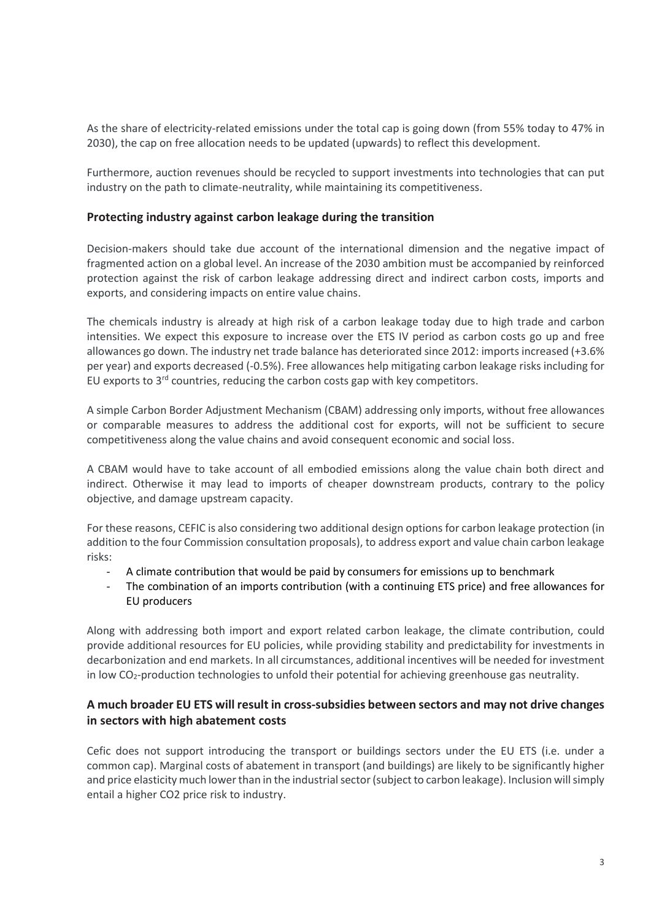As the share of electricity-related emissions under the total cap is going down (from 55% today to 47% in 2030), the cap on free allocation needs to be updated (upwards) to reflect this development.

Furthermore, auction revenues should be recycled to support investments into technologies that can put industry on the path to climate-neutrality, while maintaining its competitiveness.

#### **Protecting industry against carbon leakage during the transition**

Decision-makers should take due account of the international dimension and the negative impact of fragmented action on a global level. An increase of the 2030 ambition must be accompanied by reinforced protection against the risk of carbon leakage addressing direct and indirect carbon costs, imports and exports, and considering impacts on entire value chains.

The chemicals industry is already at high risk of a carbon leakage today due to high trade and carbon intensities. We expect this exposure to increase over the ETS IV period as carbon costs go up and free allowances go down. The industry net trade balance has deteriorated since 2012: imports increased (+3.6% per year) and exports decreased (-0.5%). Free allowances help mitigating carbon leakage risks including for EU exports to  $3<sup>rd</sup>$  countries, reducing the carbon costs gap with key competitors.

A simple Carbon Border Adjustment Mechanism (CBAM) addressing only imports, without free allowances or comparable measures to address the additional cost for exports, will not be sufficient to secure competitiveness along the value chains and avoid consequent economic and social loss.

A CBAM would have to take account of all embodied emissions along the value chain both direct and indirect. Otherwise it may lead to imports of cheaper downstream products, contrary to the policy objective, and damage upstream capacity.

For these reasons, CEFIC is also considering two additional design options for carbon leakage protection (in addition to the four Commission consultation proposals), to address export and value chain carbon leakage risks:

- A climate contribution that would be paid by consumers for emissions up to benchmark
- The combination of an imports contribution (with a continuing ETS price) and free allowances for EU producers

Along with addressing both import and export related carbon leakage, the climate contribution, could provide additional resources for EU policies, while providing stability and predictability for investments in decarbonization and end markets. In all circumstances, additional incentives will be needed for investment in low CO<sub>2</sub>-production technologies to unfold their potential for achieving greenhouse gas neutrality.

## **A much broader EU ETS will result in cross-subsidies between sectors and may not drive changes in sectors with high abatement costs**

Cefic does not support introducing the transport or buildings sectors under the EU ETS (i.e. under a common cap). Marginal costs of abatement in transport (and buildings) are likely to be significantly higher and price elasticity much lower than in the industrial sector (subject to carbon leakage). Inclusion will simply entail a higher CO2 price risk to industry.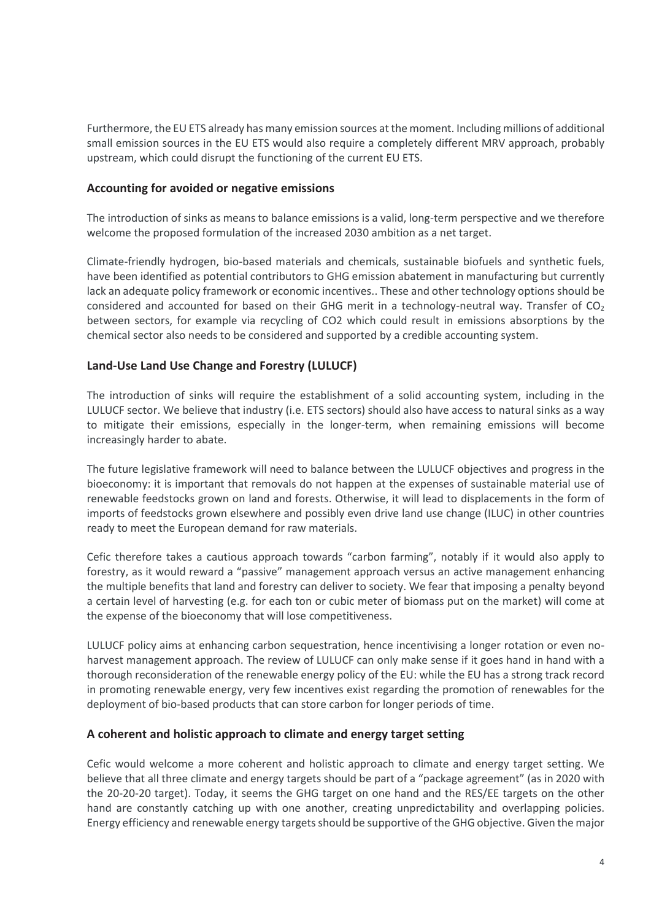Furthermore, the EU ETS already has many emission sources at the moment. Including millions of additional small emission sources in the EU ETS would also require a completely different MRV approach, probably upstream, which could disrupt the functioning of the current EU ETS.

#### **Accounting for avoided or negative emissions**

The introduction of sinks as means to balance emissions is a valid, long-term perspective and we therefore welcome the proposed formulation of the increased 2030 ambition as a net target.

Climate-friendly hydrogen, bio-based materials and chemicals, sustainable biofuels and synthetic fuels, have been identified as potential contributors to GHG emission abatement in manufacturing but currently lack an adequate policy framework or economic incentives.. These and other technology options should be considered and accounted for based on their GHG merit in a technology-neutral way. Transfer of  $CO<sub>2</sub>$ between sectors, for example via recycling of CO2 which could result in emissions absorptions by the chemical sector also needs to be considered and supported by a credible accounting system.

## **Land-Use Land Use Change and Forestry (LULUCF)**

The introduction of sinks will require the establishment of a solid accounting system, including in the LULUCF sector. We believe that industry (i.e. ETS sectors) should also have access to natural sinks as a way to mitigate their emissions, especially in the longer-term, when remaining emissions will become increasingly harder to abate.

The future legislative framework will need to balance between the LULUCF objectives and progress in the bioeconomy: it is important that removals do not happen at the expenses of sustainable material use of renewable feedstocks grown on land and forests. Otherwise, it will lead to displacements in the form of imports of feedstocks grown elsewhere and possibly even drive land use change (ILUC) in other countries ready to meet the European demand for raw materials.

Cefic therefore takes a cautious approach towards "carbon farming", notably if it would also apply to forestry, as it would reward a "passive" management approach versus an active management enhancing the multiple benefits that land and forestry can deliver to society. We fear that imposing a penalty beyond a certain level of harvesting (e.g. for each ton or cubic meter of biomass put on the market) will come at the expense of the bioeconomy that will lose competitiveness.

LULUCF policy aims at enhancing carbon sequestration, hence incentivising a longer rotation or even noharvest management approach. The review of LULUCF can only make sense if it goes hand in hand with a thorough reconsideration of the renewable energy policy of the EU: while the EU has a strong track record in promoting renewable energy, very few incentives exist regarding the promotion of renewables for the deployment of bio-based products that can store carbon for longer periods of time.

#### **A coherent and holistic approach to climate and energy target setting**

Cefic would welcome a more coherent and holistic approach to climate and energy target setting. We believe that all three climate and energy targets should be part of a "package agreement" (as in 2020 with the 20-20-20 target). Today, it seems the GHG target on one hand and the RES/EE targets on the other hand are constantly catching up with one another, creating unpredictability and overlapping policies. Energy efficiency and renewable energy targets should be supportive of the GHG objective. Given the major